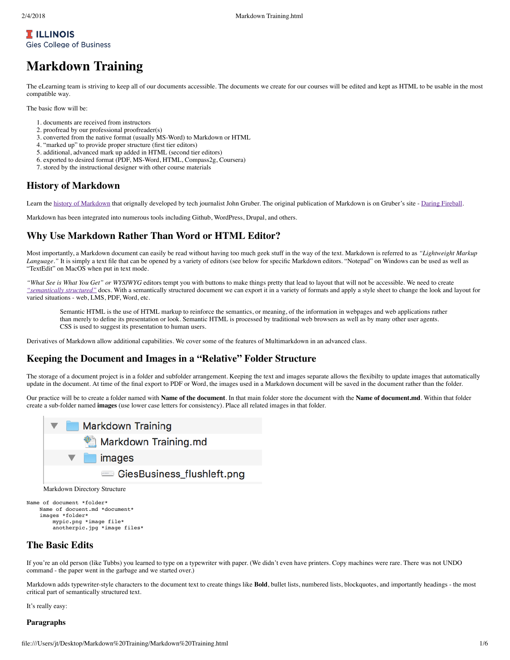## **T** ILLINOIS **Gies College of Business**

# **Markdown Training**

The eLearning team is striving to keep all of our documents accessible. The documents we create for our courses will be edited and kept as HTML to be usable in the most compatible way.

The basic flow will be:

- 1. documents are received from instructors
- 2. proofread by our professional proofreader(s)
- 3. converted from the native format (usually MS-Word) to Markdown or HTML
- 4. "marked up" to provide proper structure (first tier editors)
- 5. additional, advanced mark up added in HTML (second tier editors)
- 6. exported to desired format (PDF, MS-Word, HTML, Compass2g, Coursera)
- 7. stored by the instructional designer with other course materials

## **History of Markdown**

Learn the history of Markdown that orignally developed by tech journalist John Gruber. The original publication of Markdown is on Gruber's site - Daring Fireball.

Markdown has been integrated into numerous tools including Github, WordPress, Drupal, and others.

## **Why Use Markdown Rather Than Word or HTML Editor?**

Most importantly, a Markdown document can easily be read without having too much geek stuff in the way of the text. Markdown is referred to as *"Lightweight Markup* Language." It is simply a text file that can be opened by a variety of editors (see below for specific Markdown editors. "Notepad" on Windows can be used as well as "TextEdit" on MacOS when put in text mode.

*"What See is What You Get" or WYSIWYG* editors tempt you with buttons to make things pretty that lead to layout that will not be accessible. We need to create *"semantically structured"* docs. With a semantically structured document we can export it in a variety of formats and apply a style sheet to change the look and layout for varied situations - web, LMS, PDF, Word, etc.

Semantic HTML is the use of HTML markup to reinforce the semantics, or meaning, of the information in webpages and web applications rather than merely to define its presentation or look. Semantic HTML is processed by traditional web browsers as well as by many other user agents. CSS is used to suggest its presentation to human users.

Derivatives of Markdown allow additional capabilities. We cover some of the features of Multimarkdown in an advanced class.

## **Keeping the Document and Images in a "Relative" Folder Structure**

The storage of a document project is in a folder and subfolder arrangement. Keeping the text and images separate allows the flexibilty to update images that automatically update in the document. At time of the final export to PDF or Word, the images used in a Markdown document will be saved in the document rather than the folder.

Our practice will be to create a folder named with **Name of the document**. In that main folder store the document with the **Name of document.md**. Within that folder create a sub-folder named **images** (use lower case letters for consistency). Place all related images in that folder.



Markdown Directory Structure

```
Name of document *folder*
    Name of docuent.md *document*
     images *folder*
         mypic.png *image file*
         anotherpic.jpg *image files*
```
### **The Basic Edits**

If you're an old person (like Tubbs) you learned to type on a typewriter with paper. (We didn't even have printers. Copy machines were rare. There was not UNDO command - the paper went in the garbage and we started over.)

Markdown adds typewriter-style characters to the document text to create things like **Bold**, bullet lists, numbered lists, blockquotes, and importantly headings - the most critical part of semantically structured text.

It's really easy:

## **Paragraphs**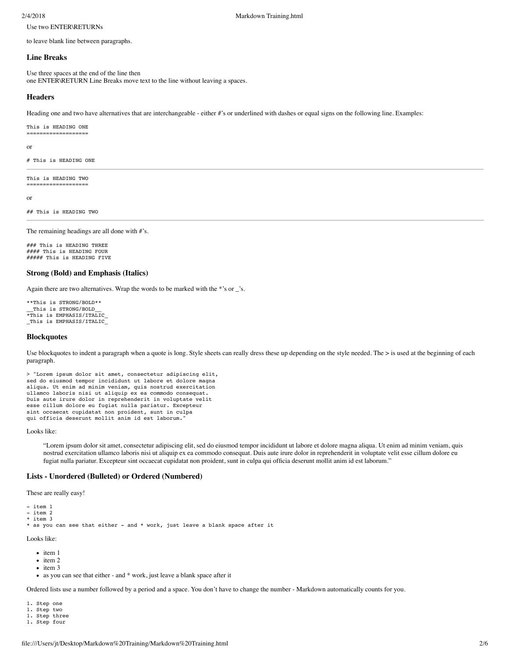2/4/2018 Markdown Training.html

Use two ENTER\RETURNs

to leave blank line between paragraphs.

#### **Line Breaks**

Use three spaces at the end of the line then one ENTER\RETURN Line Breaks move text to the line without leaving a spaces.

#### **Headers**

Heading one and two have alternatives that are interchangeable - either #'s or underlined with dashes or equal signs on the following line. Examples:

#### This is HEADING ONE ===================

or

```
# This is HEADING ONE
```
This is HEADING TWO ===================

or

## This is HEADING TWO

The remaining headings are all done with #'s.

### This is HEADING THREE  $\# \# \#$  This is HEADING FOUR ##### This is HEADING FIVE

#### **Strong (Bold) and Emphasis (Italics)**

Again there are two alternatives. Wrap the words to be marked with the \*'s or \_'s.

```
**This is STRONG/BOLD**
 This is STRONG/BOLD
*This is EMPHASIS/ITALIC_
_This is EMPHASIS/ITALIC_
```
#### **Blockquotes**

Use blockquotes to indent a paragraph when a quote is long. Style sheets can really dress these up depending on the style needed. The > is used at the beginning of each paragraph.

```
> "Lorem ipsum dolor sit amet, consectetur adipiscing elit, 
sed do eiusmod tempor incididunt ut labore et dolore magna 
aliqua. Ut enim ad minim veniam, quis nostrud exercitation 
ullamco laboris nisi ut aliquip ex ea commodo consequat. 
Duis aute irure dolor in reprehenderit in voluptate velit 
esse cillum dolore eu fugiat nulla pariatur. Excepteur 
sint occaecat cupidatat non proident, sunt in culpa 
qui officia deserunt mollit anim id est laborum."
```
Looks like:

"Lorem ipsum dolor sit amet, consectetur adipiscing elit, sed do eiusmod tempor incididunt ut labore et dolore magna aliqua. Ut enim ad minim veniam, quis nostrud exercitation ullamco laboris nisi ut aliquip ex ea commodo consequat. Duis aute irure dolor in reprehenderit in voluptate velit esse cillum dolore eu fugiat nulla pariatur. Excepteur sint occaecat cupidatat non proident, sunt in culpa qui officia deserunt mollit anim id est laborum."

#### **Lists - Unordered (Bulleted) or Ordered (Numbered)**

These are really easy!

- item 1
- item 2 \* item 3
- \* as you can see that either and \* work, just leave a blank space after it

Looks like:

- $\bullet$  item 1
- $\bullet$  item 2
- $\bullet$  item 3
- as you can see that either and \* work, just leave a blank space after it

Ordered lists use a number followed by a period and a space. You don't have to change the number - Markdown automatically counts for you.

- 1. Step one
- 1. Step two
- 1. Step three 1. Step four
-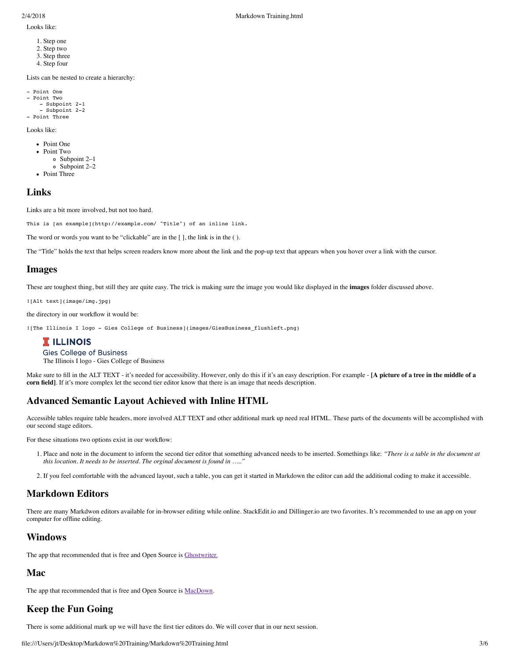Looks like:

- 1. Step one 2. Step two
- 3. Step three 4. Step four

Lists can be nested to create a hierarchy:

```
- Point One
- Point Two
     - Subpoint 2-1
     - Subpoint 2-2
- Point Three
```
Looks like:

```
• Point One
```
- Point Two
- Subpoint 2–1
- Subpoint 2–2
- Point Three

### **Links**

Links are a bit more involved, but not too hard.

This is [an example](http://example.com/ "Title") of an inline link.

The word or words you want to be "clickable" are in the [ ], the link is in the ( ).

The "Title" holds the text that helps screen readers know more about the link and the pop-up text that appears when you hover over a link with the cursor.

## **Images**

These are toughest thing, but still they are quite easy. The trick is making sure the image you would like displayed in the **images** folder discussed above.

![Alt text](image/img.jpg)

the directory in our workflow it would be:

![The Illinois I logo - Gies College of Business](images/GiesBusiness\_flushleft.png)

## **I** ILLINOIS

**Gies College of Business** 

The Illinois I logo - Gies College of Business

Make sure to fill in the ALT TEXT - it's needed for accessibility. However, only do this if it's an easy description. For example - [A picture of a tree in the middle of a **corn field]**. If it's more complex let the second tier editor know that there is an image that needs description.

## **Advanced Semantic Layout Achieved with Inline HTML**

Accessible tables require table headers, more involved ALT TEXT and other additional mark up need real HTML. These parts of the documents will be accomplished with our second stage editors.

For these situations two options exist in our workflow:

- 1. Place and note in the document to inform the second tier editor that something advanced needs to be inserted. Somethings like: *"There is a table in the document at this location. It needs to be inserted. The orginal document is found in ….."*
- 2. If you feel comfortable with the advanced layout, such a table, you can get it started in Markdown the editor can add the additional coding to make it accessible.

## **Markdown Editors**

There are many Markdwon editors available for in-browser editing while online. StackEdit.io and Dillinger.io are two favorites. It's recommended to use an app on your computer for offline editing.

## **Windows**

The app that recommended that is free and Open Source is Ghostwriter.

## **Mac**

The app that recommended that is free and Open Source is MacDown.

# **Keep the Fun Going**

There is some additional mark up we will have the first tier editors do. We will cover that in our next session.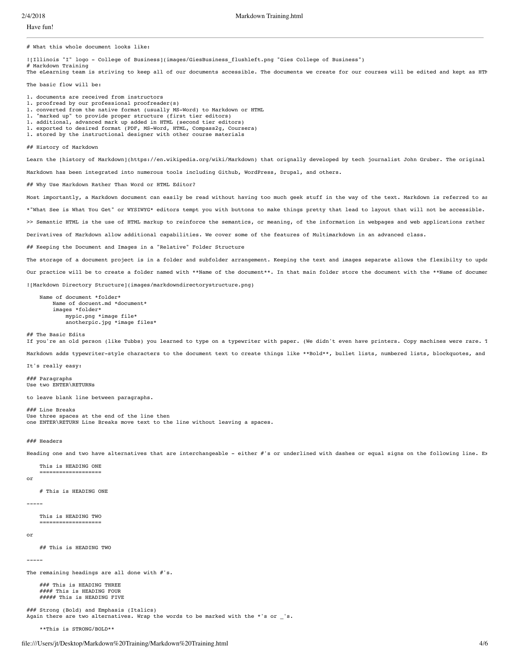Have fun!

# What this whole document looks like:

![Illinois "I" logo - College of Business](images/GiesBusiness\_flushleft.png "Gies College of Business") Markdown Training

The eLearning team is striving to keep all of our documents accessible. The documents we create for our courses will be edited and kept as HTM

The basic flow will be:

- 1. documents are received from instructors
- 1. proofread by our professional proofreader(s)
- 1. converted from the native format (usually MS-Word) to Markdown or HTML
- 1. "marked up" to provide proper structure (first tier editors)
- 1. additional, advanced mark up added in HTML (second tier editors)
- 1. exported to desired format (PDF, MS-Word, HTML, Compass2g, Coursera)
- 1. stored by the instructional designer with other course materials

## History of Markdown

Learn the [history of Markdown](https://en.wikipedia.org/wiki/Markdown) that orignally developed by tech journalist John Gruber. The original Markdown has been integrated into numerous tools including Github, WordPress, Drupal, and others.

## Why Use Markdown Rather Than Word or HTML Editor?

Most importantly, a Markdown document can easily be read without having too much geek stuff in the way of the text. Markdown is referred to as \*"What See is What You Get" or WYSIWYG\* editors tempt you with buttons to make things pretty that lead to layout that will not be accessible. >> Semantic HTML is the use of HTML markup to reinforce the semantics, or meaning, of the information in webpages and web applications rather

Derivatives of Markdown allow additional capabilities. We cover some of the features of Multimarkdown in an advanced class.

## Keeping the Document and Images in a "Relative" Folder Structure

The storage of a document project is in a folder and subfolder arrangement. Keeping the text and images separate allows the flexibilty to upda Our practice will be to create a folder named with \*\*Name of the document\*\*. In that main folder store the document with the \*\*Name of documen ![Markdown Directory Structure](images/markdowndirectorystructure.png)

 Name of document \*folder\* Name of docuent.md \*document\* images \*folder\* mypic.png \*image file\* anotherpic.jpg \*image files\*

## The Basic Edits

If you're an old person (like Tubbs) you learned to type on a typewriter with paper. (We didn't even have printers. Copy machines were rare. T

Markdown adds typewriter-style characters to the document text to create things like \*\*Bold\*\*, bullet lists, numbered lists, blockquotes, and

It's really easy:

### Paragraphs Use two ENTER\RETURNs

to leave blank line between paragraphs.

### Line Breaks Use three spaces at the end of the line then one ENTER\RETURN Line Breaks move text to the line without leaving a spaces.

### Headers

Heading one and two have alternatives that are interchangeable - either #'s or underlined with dashes or equal signs on the following line. Ex

 This is HEADING ONE ===================

or

# This is HEADING ONE

#### -----

 This is HEADING TWO ===================

#### or

## This is HEADING TWO

-----

The remaining headings are all done with #'s.

 ### This is HEADING THREE #### This is HEADING FOUR ##### This is HEADING FIVE

### Strong (Bold) and Emphasis (Italics) Again there are two alternatives. Wrap the words to be marked with the  $*$ 's or  $'s$ .

\*\*This is STRONG/BOLD\*\*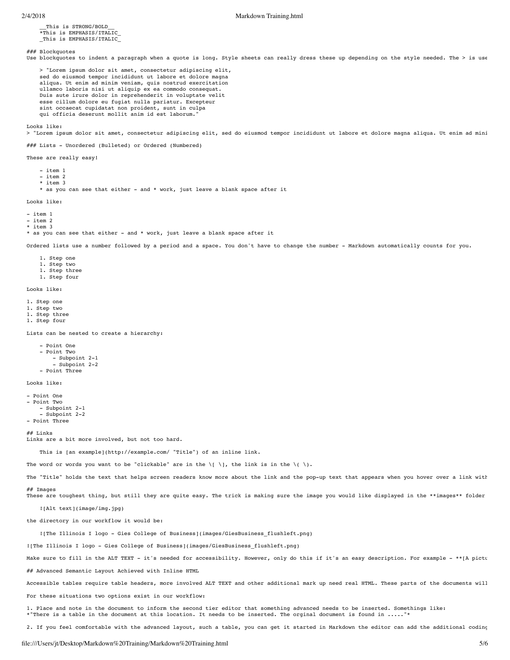\_\_This is STRONG/BOLD\_\_ \*This is EMPHASIS/ITALIC\_ \_This is EMPHASIS/ITALIC\_

#### ### Blockquotes

Use blockquotes to indent a paragraph when a quote is long. Style sheets can really dress these up depending on the style needed. The > is use

 > "Lorem ipsum dolor sit amet, consectetur adipiscing elit, sed do eiusmod tempor incididunt ut labore et dolore magna aliqua. Ut enim ad minim veniam, quis nostrud exercitation ullamco laboris nisi ut aliquip ex ea commodo consequat. Duis aute irure dolor in reprehenderit in voluptate velit esse cillum dolore eu fugiat nulla pariatur. Excepteur sint occaecat cupidatat non proident, sunt in culpa qui officia deserunt mollit anim id est laborum.

Looks like:

> "Lorem ipsum dolor sit amet, consectetur adipiscing elit, sed do eiusmod tempor incididunt ut labore et dolore magna aliqua. Ut enim ad mini

### Lists - Unordered (Bulleted) or Ordered (Numbered)

These are really easy!

- item 1

- item 2

\* item 3

\* as you can see that either - and \* work, just leave a blank space after it

Looks like:

- item 1

- item 2

\* item 3

\* as you can see that either - and \* work, just leave a blank space after it

Ordered lists use a number followed by a period and a space. You don't have to change the number - Markdown automatically counts for you.

- 1. Step one 1. Step two
- 1. Step three
- 1. Step four

Looks like:

- 1. Step one
- 1. Step two
- 1. Step three
- 1. Step four

Lists can be nested to create a hierarchy:

```
 - Point One
 - Point Two
     - Subpoint 2-1
     - Subpoint 2-2
 - Point Three
```
Looks like:

- Point One - Point Two - Subpoint 2-1 - Subpoint 2-2 - Point Three

## Links

Links are a bit more involved, but not too hard.

This is [an example](http://example.com/ "Title") of an inline link.

The word or words you want to be "clickable" are in the  $\setminus$ [  $\setminus$ ], the link is in the  $\setminus$ (  $\setminus$ ).

The "Title" holds the text that helps screen readers know more about the link and the pop-up text that appears when you hover over a link with ## Images

These are toughest thing, but still they are quite easy. The trick is making sure the image you would like displayed in the \*\*images\*\* folder

![Alt text](image/img.jpg)

the directory in our workflow it would be:

![The Illinois I logo - Gies College of Business](images/GiesBusiness\_flushleft.png)

![The Illinois I logo - Gies College of Business](images/GiesBusiness\_flushleft.png)

Make sure to fill in the ALT TEXT - it's needed for accessibility. However, only do this if it's an easy description. For example - \*\*[A pictu

## Advanced Semantic Layout Achieved with Inline HTML

Accessible tables require table headers, more involved ALT TEXT and other additional mark up need real HTML. These parts of the documents will

For these situations two options exist in our workflow:

1. Place and note in the document to inform the second tier editor that something advanced needs to be inserted. Somethings like: \*"There is a table in the document at this location. It needs to be inserted. The orginal document is found in ....."

2. If you feel comfortable with the advanced layout, such a table, you can get it started in Markdown the editor can add the additional coding